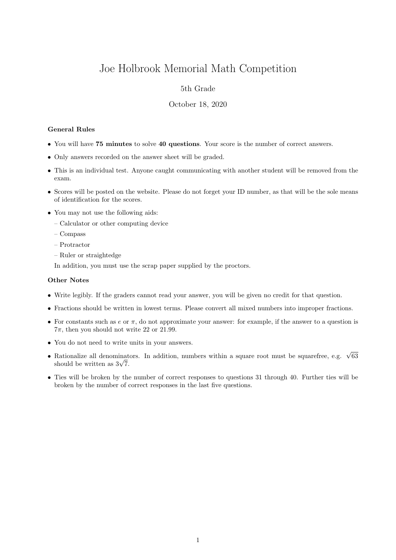# Joe Holbrook Memorial Math Competition

## 5th Grade

### October 18, 2020

#### General Rules

- You will have 75 minutes to solve 40 questions. Your score is the number of correct answers.
- Only answers recorded on the answer sheet will be graded.
- This is an individual test. Anyone caught communicating with another student will be removed from the exam.
- Scores will be posted on the website. Please do not forget your ID number, as that will be the sole means of identification for the scores.
- You may not use the following aids:
	- Calculator or other computing device
	- Compass
	- Protractor
	- Ruler or straightedge

In addition, you must use the scrap paper supplied by the proctors.

#### Other Notes

- Write legibly. If the graders cannot read your answer, you will be given no credit for that question.
- Fractions should be written in lowest terms. Please convert all mixed numbers into improper fractions.
- For constants such as  $e$  or  $\pi$ , do not approximate your answer: for example, if the answer to a question is  $7\pi$ , then you should not write 22 or 21.99.
- You do not need to write units in your answers.
- Rationalize all denominators. In addition, numbers within a square root must be squarefree, e.g.  $\sqrt{63}$  $\kappa$ ationalize all denominat<br>should be written as  $3\sqrt{7}$ .
- Ties will be broken by the number of correct responses to questions 31 through 40. Further ties will be broken by the number of correct responses in the last five questions.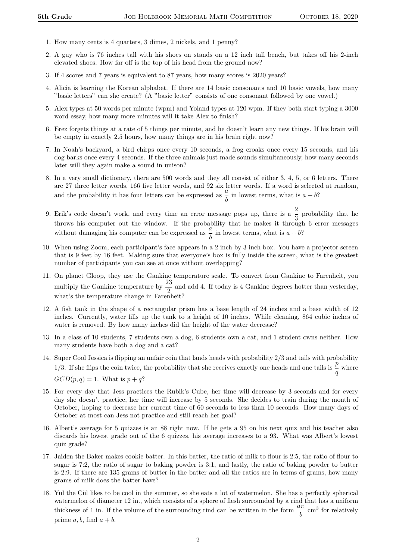- 1. How many cents is 4 quarters, 3 dimes, 2 nickels, and 1 penny?
- 2. A guy who is 76 inches tall with his shoes on stands on a 12 inch tall bench, but takes off his 2-inch elevated shoes. How far off is the top of his head from the ground now?
- 3. If 4 scores and 7 years is equivalent to 87 years, how many scores is 2020 years?
- 4. Alicia is learning the Korean alphabet. If there are 14 basic consonants and 10 basic vowels, how many "basic letters" can she create? (A "basic letter" consists of one consonant followed by one vowel.)
- 5. Alex types at 50 words per minute (wpm) and Yoland types at 120 wpm. If they both start typing a 3000 word essay, how many more minutes will it take Alex to finish?
- 6. Erez forgets things at a rate of 5 things per minute, and he doesn't learn any new things. If his brain will be empty in exactly 2.5 hours, how many things are in his brain right now?
- 7. In Noah's backyard, a bird chirps once every 10 seconds, a frog croaks once every 15 seconds, and his dog barks once every 4 seconds. If the three animals just made sounds simultaneously, how many seconds later will they again make a sound in unison?
- 8. In a very small dictionary, there are 500 words and they all consist of either 3, 4, 5, or 6 letters. There are 27 three letter words, 166 five letter words, and 92 six letter words. If a word is selected at random, and the probability it has four letters can be expressed as  $\frac{a}{b}$  in lowest terms, what is  $a + b$ ?
- 9. Erik's code doesn't work, and every time an error message pops up, there is a  $\frac{2}{3}$  probability that he throws his computer out the window. If the probability that he makes it through 6 error messages without damaging his computer can be expressed as  $\frac{a}{b}$  in lowest terms, what is  $a + b$ ?
- 10. When using Zoom, each participant's face appears in a 2 inch by 3 inch box. You have a projector screen that is 9 feet by 16 feet. Making sure that everyone's box is fully inside the screen, what is the greatest number of participants you can see at once without overlapping?
- 11. On planet Gloop, they use the Gankine temperature scale. To convert from Gankine to Farenheit, you multiply the Gankine temperature by  $\frac{23}{2}$  and add 4. If today is 4 Gankine degrees hotter than yesterday, what's the temperature change in Farenheit?
- 12. A fish tank in the shape of a rectangular prism has a base length of 24 inches and a base width of 12 inches. Currently, water fills up the tank to a height of 10 inches. While cleaning, 864 cubic inches of water is removed. By how many inches did the height of the water decrease?
- 13. In a class of 10 students, 7 students own a dog, 6 students own a cat, and 1 student owns neither. How many students have both a dog and a cat?
- 14. Super Cool Jessica is flipping an unfair coin that lands heads with probability 2/3 and tails with probability 1/3. If she flips the coin twice, the probability that she receives exactly one heads and one tails is  $\frac{p}{q}$  where  $GCD(p, q) = 1$ . What is  $p + q$ ?
- 15. For every day that Jess practices the Rubik's Cube, her time will decrease by 3 seconds and for every day she doesn't practice, her time will increase by 5 seconds. She decides to train during the month of October, hoping to decrease her current time of 60 seconds to less than 10 seconds. How many days of October at most can Jess not practice and still reach her goal?
- 16. Albert's average for 5 quizzes is an 88 right now. If he gets a 95 on his next quiz and his teacher also discards his lowest grade out of the 6 quizzes, his average increases to a 93. What was Albert's lowest quiz grade?
- 17. Jaiden the Baker makes cookie batter. In this batter, the ratio of milk to flour is 2:5, the ratio of flour to sugar is 7:2, the ratio of sugar to baking powder is 3:1, and lastly, the ratio of baking powder to butter is 2:9. If there are 135 grams of butter in the batter and all the ratios are in terms of grams, how many grams of milk does the batter have?
- 18. Yul the Cül likes to be cool in the summer, so she eats a lot of watermelon. She has a perfectly spherical watermelon of diameter 12 in., which consists of a sphere of flesh surrounded by a rind that has a uniform thickness of 1 in. If the volume of the surrounding rind can be written in the form  $\frac{a\pi}{b}$  cm<sup>3</sup> for relatively prime  $a, b$ , find  $a + b$ .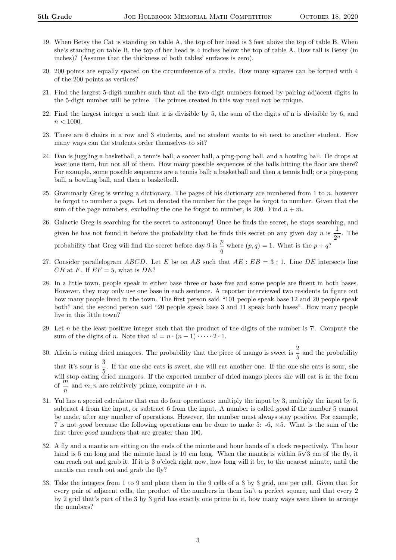- 19. When Betsy the Cat is standing on table A, the top of her head is 3 feet above the top of table B. When she's standing on table B, the top of her head is 4 inches below the top of table A. How tall is Betsy (in inches)? (Assume that the thickness of both tables' surfaces is zero).
- 20. 200 points are equally spaced on the circumference of a circle. How many squares can be formed with 4 of the 200 points as vertices?
- 21. Find the largest 5-digit number such that all the two digit numbers formed by pairing adjacent digits in the 5-digit number will be prime. The primes created in this way need not be unique.
- 22. Find the largest integer n such that n is divisible by 5, the sum of the digits of n is divisible by 6, and  $n < 1000$ .
- 23. There are 6 chairs in a row and 3 students, and no student wants to sit next to another student. How many ways can the students order themselves to sit?
- 24. Dan is juggling a basketball, a tennis ball, a soccer ball, a ping-pong ball, and a bowling ball. He drops at least one item, but not all of them. How many possible sequences of the balls hitting the floor are there? For example, some possible sequences are a tennis ball; a basketball and then a tennis ball; or a ping-pong ball, a bowling ball, and then a basketball.
- 25. Grammarly Greg is writing a dictionary. The pages of his dictionary are numbered from 1 to  $n$ , however he forgot to number a page. Let  $m$  denoted the number for the page he forgot to number. Given that the sum of the page numbers, excluding the one he forgot to number, is 200. Find  $n + m$ .
- 26. Galactic Greg is searching for the secret to astronomy! Once he finds the secret, he stops searching, and given he has not found it before the probability that he finds this secret on any given day n is  $\frac{1}{2}$  $\frac{1}{2^n}$ . The probability that Greg will find the secret before day 9 is  $\frac{p}{q}$  where  $(p, q) = 1$ . What is the  $p + q$ ?
- 27. Consider parallelogram ABCD. Let E be on AB such that  $AE : EB = 3 : 1$ . Line DE intersects line  $CB$  at F. If  $EF = 5$ , what is DE?
- 28. In a little town, people speak in either base three or base five and some people are fluent in both bases. However, they may only use one base in each sentence. A reporter interviewed two residents to figure out how many people lived in the town. The first person said "101 people speak base 12 and 20 people speak both" and the second person said "20 people speak base 3 and 11 speak both bases". How many people live in this little town?
- 29. Let n be the least positive integer such that the product of the digits of the number is 7!. Compute the sum of the digits of *n*. Note that  $n! = n \cdot (n-1) \cdot \cdots \cdot 2 \cdot 1$ .
- 30. Alicia is eating dried mangoes. The probability that the piece of mango is sweet is  $\frac{2}{5}$  and the probability that it's sour is  $\frac{3}{5}$ . If the one she eats is sweet, she will eat another one. If the one she eats is sour, she will stop eating dried mangoes. If the expected number of dried mango pieces she will eat is in the form of  $\frac{m}{n}$  and  $m, n$  are relatively prime, compute  $m + n$ .
- 31. Yul has a special calculator that can do four operations: multiply the input by 3, multiply the input by 5, subtract 4 from the input, or subtract 6 from the input. A number is called *good* if the number 5 cannot be made, after any number of operations. However, the number must always stay positive. For example, 7 is not good because the following operations can be done to make 5: -6, ×5. What is the sum of the first three good numbers that are greater than 100.
- 32. A fly and a mantis are sitting on the ends of the minute and hour hands of a clock respectively. The hour A fly and a mantis are sitting on the ends of the minute and hour hands of a clock respectively. The hour hand is 5 cm long and the minute hand is 10 cm long. When the mantis is within  $5\sqrt{3}$  cm of the fly, it can reach out and grab it. If it is 3 o'clock right now, how long will it be, to the nearest minute, until the mantis can reach out and grab the fly?
- 33. Take the integers from 1 to 9 and place them in the 9 cells of a 3 by 3 grid, one per cell. Given that for every pair of adjacent cells, the product of the numbers in them isn't a perfect square, and that every 2 by 2 grid that's part of the 3 by 3 grid has exactly one prime in it, how many ways were there to arrange the numbers?